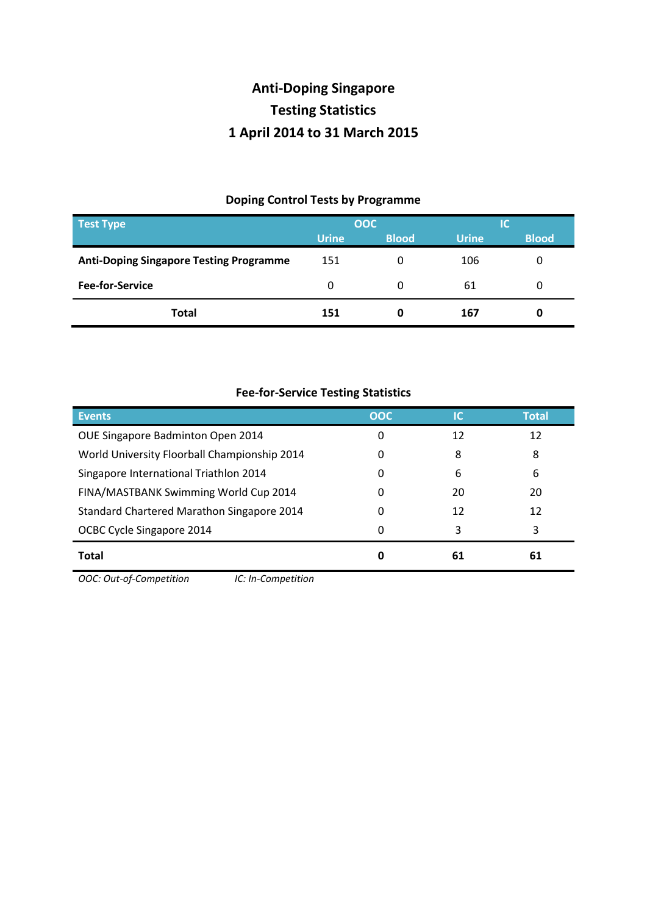## **Anti-Doping Singapore Testing Statistics 1 April 2014 to 31 March 2015**

## **Doping Control Tests by Programme**

| <b>Test Type</b>                               | <b>OOC</b>   |              | IС           |              |
|------------------------------------------------|--------------|--------------|--------------|--------------|
|                                                | <b>Urine</b> | <b>Blood</b> | <b>Urine</b> | <b>Blood</b> |
| <b>Anti-Doping Singapore Testing Programme</b> | 151          | 0            | 106          |              |
| <b>Fee-for-Service</b>                         | 0            | 0            | 61           |              |
| <b>Total</b>                                   | 151          | 0            | 167          |              |

## **Fee-for-Service Testing Statistics**

| <b>Events</b>                                | <b>OOC</b> | IC | <b>Total</b> |
|----------------------------------------------|------------|----|--------------|
| OUE Singapore Badminton Open 2014            | 0          | 12 | 12           |
| World University Floorball Championship 2014 | 0          | 8  | 8            |
| Singapore International Triathlon 2014       | 0          | 6  | 6            |
| FINA/MASTBANK Swimming World Cup 2014        | O          | 20 | 20           |
| Standard Chartered Marathon Singapore 2014   | 0          | 12 | 12           |
| OCBC Cycle Singapore 2014                    | 0          | 3  | 3            |
| <b>Total</b>                                 | 0          | 61 | 61           |

*OOC: Out-of-Competition IC: In-Competition*